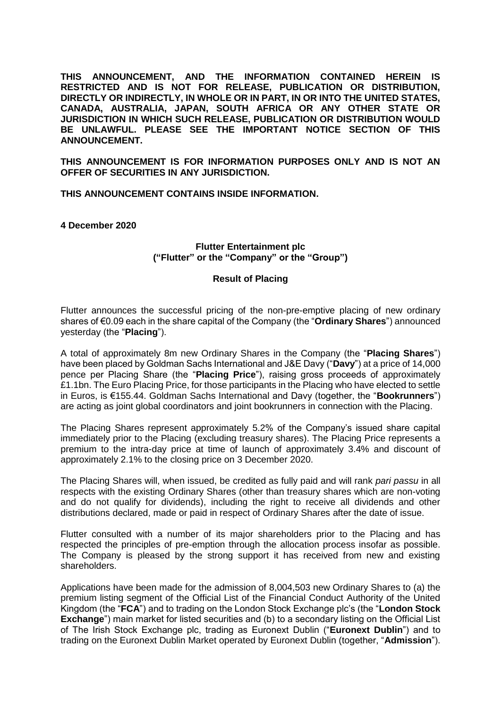**THIS ANNOUNCEMENT, AND THE INFORMATION CONTAINED HEREIN IS RESTRICTED AND IS NOT FOR RELEASE, PUBLICATION OR DISTRIBUTION, DIRECTLY OR INDIRECTLY, IN WHOLE OR IN PART, IN OR INTO THE UNITED STATES, CANADA, AUSTRALIA, JAPAN, SOUTH AFRICA OR ANY OTHER STATE OR JURISDICTION IN WHICH SUCH RELEASE, PUBLICATION OR DISTRIBUTION WOULD BE UNLAWFUL. PLEASE SEE THE IMPORTANT NOTICE SECTION OF THIS ANNOUNCEMENT.**

**THIS ANNOUNCEMENT IS FOR INFORMATION PURPOSES ONLY AND IS NOT AN OFFER OF SECURITIES IN ANY JURISDICTION.**

**THIS ANNOUNCEMENT CONTAINS INSIDE INFORMATION.**

**4 December 2020**

## **Flutter Entertainment plc ("Flutter" or the "Company" or the "Group")**

## **Result of Placing**

Flutter announces the successful pricing of the non-pre-emptive placing of new ordinary shares of €0.09 each in the share capital of the Company (the "**Ordinary Shares**") announced yesterday (the "**Placing**").

A total of approximately 8m new Ordinary Shares in the Company (the "**Placing Shares**") have been placed by Goldman Sachs International and J&E Davy ("**Davy**") at a price of 14,000 pence per Placing Share (the "**Placing Price**"), raising gross proceeds of approximately £1.1bn. The Euro Placing Price, for those participants in the Placing who have elected to settle in Euros, is €155.44. Goldman Sachs International and Davy (together, the "**Bookrunners**") are acting as joint global coordinators and joint bookrunners in connection with the Placing.

The Placing Shares represent approximately 5.2% of the Company's issued share capital immediately prior to the Placing (excluding treasury shares). The Placing Price represents a premium to the intra-day price at time of launch of approximately 3.4% and discount of approximately 2.1% to the closing price on 3 December 2020.

The Placing Shares will, when issued, be credited as fully paid and will rank *pari passu* in all respects with the existing Ordinary Shares (other than treasury shares which are non-voting and do not qualify for dividends), including the right to receive all dividends and other distributions declared, made or paid in respect of Ordinary Shares after the date of issue.

Flutter consulted with a number of its major shareholders prior to the Placing and has respected the principles of pre-emption through the allocation process insofar as possible. The Company is pleased by the strong support it has received from new and existing shareholders.

Applications have been made for the admission of 8,004,503 new Ordinary Shares to (a) the premium listing segment of the Official List of the Financial Conduct Authority of the United Kingdom (the "**FCA**") and to trading on the London Stock Exchange plc's (the "**London Stock Exchange**") main market for listed securities and (b) to a secondary listing on the Official List of The Irish Stock Exchange plc, trading as Euronext Dublin ("**Euronext Dublin**") and to trading on the Euronext Dublin Market operated by Euronext Dublin (together, "**Admission**").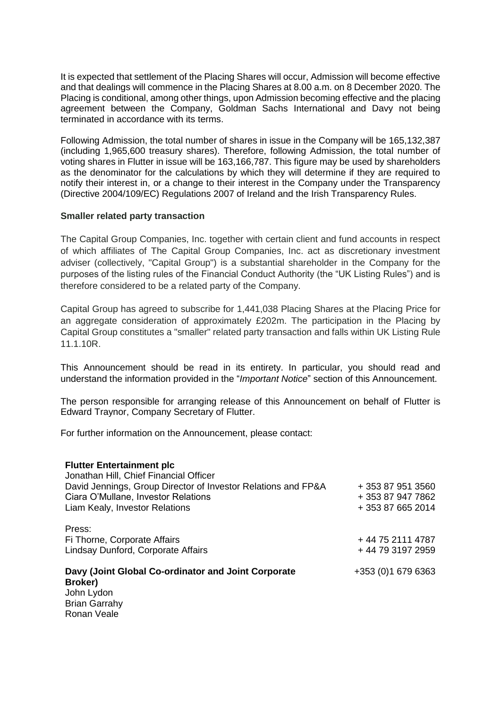It is expected that settlement of the Placing Shares will occur, Admission will become effective and that dealings will commence in the Placing Shares at 8.00 a.m. on 8 December 2020. The Placing is conditional, among other things, upon Admission becoming effective and the placing agreement between the Company, Goldman Sachs International and Davy not being terminated in accordance with its terms.

Following Admission, the total number of shares in issue in the Company will be 165,132,387 (including 1,965,600 treasury shares). Therefore, following Admission, the total number of voting shares in Flutter in issue will be 163,166,787. This figure may be used by shareholders as the denominator for the calculations by which they will determine if they are required to notify their interest in, or a change to their interest in the Company under the Transparency (Directive 2004/109/EC) Regulations 2007 of Ireland and the Irish Transparency Rules.

## **Smaller related party transaction**

The Capital Group Companies, Inc. together with certain client and fund accounts in respect of which affiliates of The Capital Group Companies, Inc. act as discretionary investment adviser (collectively, "Capital Group") is a substantial shareholder in the Company for the purposes of the listing rules of the Financial Conduct Authority (the "UK Listing Rules") and is therefore considered to be a related party of the Company.

Capital Group has agreed to subscribe for 1,441,038 Placing Shares at the Placing Price for an aggregate consideration of approximately £202m. The participation in the Placing by Capital Group constitutes a "smaller" related party transaction and falls within UK Listing Rule 11.1.10R.

This Announcement should be read in its entirety. In particular, you should read and understand the information provided in the "*Important Notice*" section of this Announcement.

The person responsible for arranging release of this Announcement on behalf of Flutter is Edward Traynor, Company Secretary of Flutter.

For further information on the Announcement, please contact:

| <b>Flutter Entertainment plc</b><br>Jonathan Hill, Chief Financial Officer<br>David Jennings, Group Director of Investor Relations and FP&A<br>Ciara O'Mullane, Investor Relations<br>Liam Kealy, Investor Relations | + 353 87 951 3560<br>+ 353 87 947 7862<br>+ 353 87 665 2014 |
|----------------------------------------------------------------------------------------------------------------------------------------------------------------------------------------------------------------------|-------------------------------------------------------------|
| Press:<br>Fi Thorne, Corporate Affairs<br>Lindsay Dunford, Corporate Affairs                                                                                                                                         | + 44 75 2111 4787<br>+ 44 79 3197 2959                      |
| Davy (Joint Global Co-ordinator and Joint Corporate<br>Broker)<br>John Lydon<br><b>Brian Garrahy</b><br>Ronan Veale                                                                                                  | +353 (0) 1 679 6363                                         |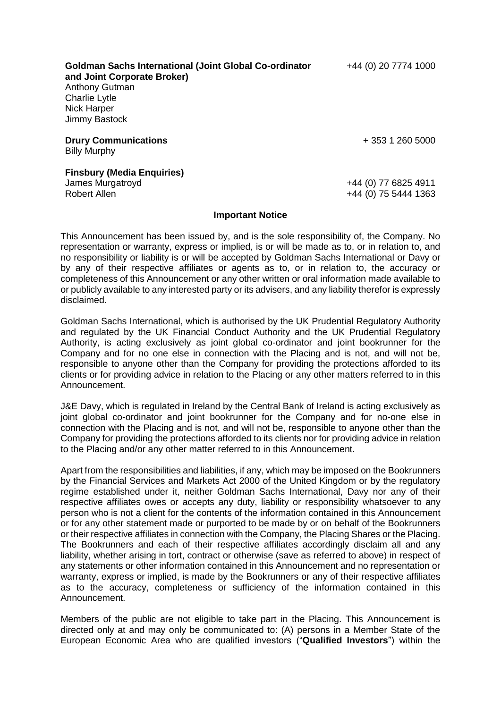| <b>Goldman Sachs International (Joint Global Co-ordinator</b><br>and Joint Corporate Broker) | +44 (0) 20 7774 1000 |
|----------------------------------------------------------------------------------------------|----------------------|
| <b>Anthony Gutman</b>                                                                        |                      |
| Charlie Lytle                                                                                |                      |
| <b>Nick Harper</b>                                                                           |                      |
| Jimmy Bastock                                                                                |                      |
| <b>Drury Communications</b><br><b>Billy Murphy</b>                                           | + 353 1 260 5000     |
| <b>Finsbury (Media Enquiries)</b>                                                            |                      |
| James Murgatroyd                                                                             | +44 (0) 77 6825 4911 |
| <b>Robert Allen</b>                                                                          | +44 (0) 75 5444 1363 |

## **Important Notice**

This Announcement has been issued by, and is the sole responsibility of, the Company. No representation or warranty, express or implied, is or will be made as to, or in relation to, and no responsibility or liability is or will be accepted by Goldman Sachs International or Davy or by any of their respective affiliates or agents as to, or in relation to, the accuracy or completeness of this Announcement or any other written or oral information made available to or publicly available to any interested party or its advisers, and any liability therefor is expressly disclaimed.

Goldman Sachs International, which is authorised by the UK Prudential Regulatory Authority and regulated by the UK Financial Conduct Authority and the UK Prudential Regulatory Authority, is acting exclusively as joint global co-ordinator and joint bookrunner for the Company and for no one else in connection with the Placing and is not, and will not be, responsible to anyone other than the Company for providing the protections afforded to its clients or for providing advice in relation to the Placing or any other matters referred to in this Announcement.

J&E Davy, which is regulated in Ireland by the Central Bank of Ireland is acting exclusively as joint global co-ordinator and joint bookrunner for the Company and for no-one else in connection with the Placing and is not, and will not be, responsible to anyone other than the Company for providing the protections afforded to its clients nor for providing advice in relation to the Placing and/or any other matter referred to in this Announcement.

Apart from the responsibilities and liabilities, if any, which may be imposed on the Bookrunners by the Financial Services and Markets Act 2000 of the United Kingdom or by the regulatory regime established under it, neither Goldman Sachs International, Davy nor any of their respective affiliates owes or accepts any duty, liability or responsibility whatsoever to any person who is not a client for the contents of the information contained in this Announcement or for any other statement made or purported to be made by or on behalf of the Bookrunners or their respective affiliates in connection with the Company, the Placing Shares or the Placing. The Bookrunners and each of their respective affiliates accordingly disclaim all and any liability, whether arising in tort, contract or otherwise (save as referred to above) in respect of any statements or other information contained in this Announcement and no representation or warranty, express or implied, is made by the Bookrunners or any of their respective affiliates as to the accuracy, completeness or sufficiency of the information contained in this Announcement.

Members of the public are not eligible to take part in the Placing. This Announcement is directed only at and may only be communicated to: (A) persons in a Member State of the European Economic Area who are qualified investors ("**Qualified Investors**") within the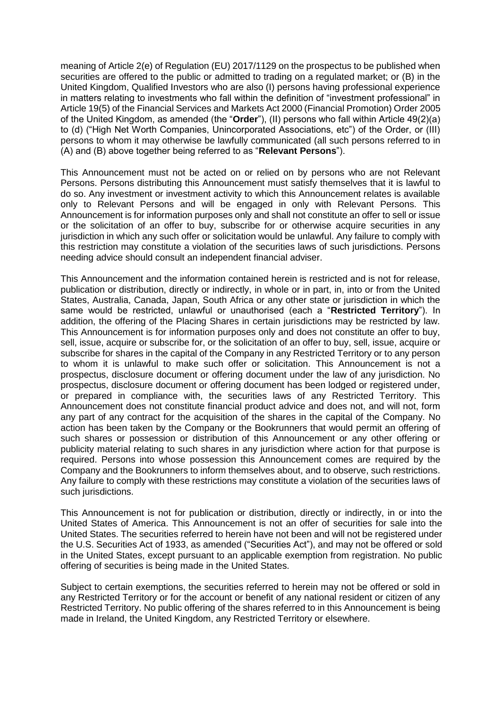meaning of Article 2(e) of Regulation (EU) 2017/1129 on the prospectus to be published when securities are offered to the public or admitted to trading on a regulated market; or (B) in the United Kingdom, Qualified Investors who are also (I) persons having professional experience in matters relating to investments who fall within the definition of "investment professional" in Article 19(5) of the Financial Services and Markets Act 2000 (Financial Promotion) Order 2005 of the United Kingdom, as amended (the "**Order**"), (II) persons who fall within Article 49(2)(a) to (d) ("High Net Worth Companies, Unincorporated Associations, etc") of the Order, or (III) persons to whom it may otherwise be lawfully communicated (all such persons referred to in (A) and (B) above together being referred to as "**Relevant Persons**").

This Announcement must not be acted on or relied on by persons who are not Relevant Persons. Persons distributing this Announcement must satisfy themselves that it is lawful to do so. Any investment or investment activity to which this Announcement relates is available only to Relevant Persons and will be engaged in only with Relevant Persons. This Announcement is for information purposes only and shall not constitute an offer to sell or issue or the solicitation of an offer to buy, subscribe for or otherwise acquire securities in any jurisdiction in which any such offer or solicitation would be unlawful. Any failure to comply with this restriction may constitute a violation of the securities laws of such jurisdictions. Persons needing advice should consult an independent financial adviser.

This Announcement and the information contained herein is restricted and is not for release, publication or distribution, directly or indirectly, in whole or in part, in, into or from the United States, Australia, Canada, Japan, South Africa or any other state or jurisdiction in which the same would be restricted, unlawful or unauthorised (each a "**Restricted Territory**"). In addition, the offering of the Placing Shares in certain jurisdictions may be restricted by law. This Announcement is for information purposes only and does not constitute an offer to buy, sell, issue, acquire or subscribe for, or the solicitation of an offer to buy, sell, issue, acquire or subscribe for shares in the capital of the Company in any Restricted Territory or to any person to whom it is unlawful to make such offer or solicitation. This Announcement is not a prospectus, disclosure document or offering document under the law of any jurisdiction. No prospectus, disclosure document or offering document has been lodged or registered under, or prepared in compliance with, the securities laws of any Restricted Territory. This Announcement does not constitute financial product advice and does not, and will not, form any part of any contract for the acquisition of the shares in the capital of the Company. No action has been taken by the Company or the Bookrunners that would permit an offering of such shares or possession or distribution of this Announcement or any other offering or publicity material relating to such shares in any jurisdiction where action for that purpose is required. Persons into whose possession this Announcement comes are required by the Company and the Bookrunners to inform themselves about, and to observe, such restrictions. Any failure to comply with these restrictions may constitute a violation of the securities laws of such jurisdictions.

This Announcement is not for publication or distribution, directly or indirectly, in or into the United States of America. This Announcement is not an offer of securities for sale into the United States. The securities referred to herein have not been and will not be registered under the U.S. Securities Act of 1933, as amended ("Securities Act"), and may not be offered or sold in the United States, except pursuant to an applicable exemption from registration. No public offering of securities is being made in the United States.

Subject to certain exemptions, the securities referred to herein may not be offered or sold in any Restricted Territory or for the account or benefit of any national resident or citizen of any Restricted Territory. No public offering of the shares referred to in this Announcement is being made in Ireland, the United Kingdom, any Restricted Territory or elsewhere.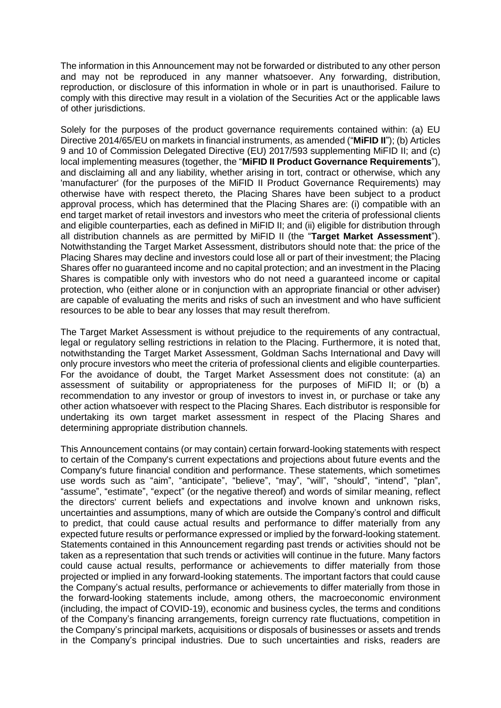The information in this Announcement may not be forwarded or distributed to any other person and may not be reproduced in any manner whatsoever. Any forwarding, distribution, reproduction, or disclosure of this information in whole or in part is unauthorised. Failure to comply with this directive may result in a violation of the Securities Act or the applicable laws of other jurisdictions.

Solely for the purposes of the product governance requirements contained within: (a) EU Directive 2014/65/EU on markets in financial instruments, as amended ("**MiFID II**"); (b) Articles 9 and 10 of Commission Delegated Directive (EU) 2017/593 supplementing MiFID II; and (c) local implementing measures (together, the "**MiFID II Product Governance Requirements**"), and disclaiming all and any liability, whether arising in tort, contract or otherwise, which any 'manufacturer' (for the purposes of the MiFID II Product Governance Requirements) may otherwise have with respect thereto, the Placing Shares have been subject to a product approval process, which has determined that the Placing Shares are: (i) compatible with an end target market of retail investors and investors who meet the criteria of professional clients and eligible counterparties, each as defined in MiFID II; and (ii) eligible for distribution through all distribution channels as are permitted by MiFID II (the "**Target Market Assessment**"). Notwithstanding the Target Market Assessment, distributors should note that: the price of the Placing Shares may decline and investors could lose all or part of their investment; the Placing Shares offer no guaranteed income and no capital protection; and an investment in the Placing Shares is compatible only with investors who do not need a guaranteed income or capital protection, who (either alone or in conjunction with an appropriate financial or other adviser) are capable of evaluating the merits and risks of such an investment and who have sufficient resources to be able to bear any losses that may result therefrom.

The Target Market Assessment is without prejudice to the requirements of any contractual, legal or regulatory selling restrictions in relation to the Placing. Furthermore, it is noted that, notwithstanding the Target Market Assessment, Goldman Sachs International and Davy will only procure investors who meet the criteria of professional clients and eligible counterparties. For the avoidance of doubt, the Target Market Assessment does not constitute: (a) an assessment of suitability or appropriateness for the purposes of MiFID II; or (b) a recommendation to any investor or group of investors to invest in, or purchase or take any other action whatsoever with respect to the Placing Shares. Each distributor is responsible for undertaking its own target market assessment in respect of the Placing Shares and determining appropriate distribution channels.

This Announcement contains (or may contain) certain forward-looking statements with respect to certain of the Company's current expectations and projections about future events and the Company's future financial condition and performance. These statements, which sometimes use words such as "aim", "anticipate", "believe", "may", "will", "should", "intend", "plan", "assume", "estimate", "expect" (or the negative thereof) and words of similar meaning, reflect the directors' current beliefs and expectations and involve known and unknown risks, uncertainties and assumptions, many of which are outside the Company's control and difficult to predict, that could cause actual results and performance to differ materially from any expected future results or performance expressed or implied by the forward-looking statement. Statements contained in this Announcement regarding past trends or activities should not be taken as a representation that such trends or activities will continue in the future. Many factors could cause actual results, performance or achievements to differ materially from those projected or implied in any forward-looking statements. The important factors that could cause the Company's actual results, performance or achievements to differ materially from those in the forward-looking statements include, among others, the macroeconomic environment (including, the impact of COVID-19), economic and business cycles, the terms and conditions of the Company's financing arrangements, foreign currency rate fluctuations, competition in the Company's principal markets, acquisitions or disposals of businesses or assets and trends in the Company's principal industries. Due to such uncertainties and risks, readers are